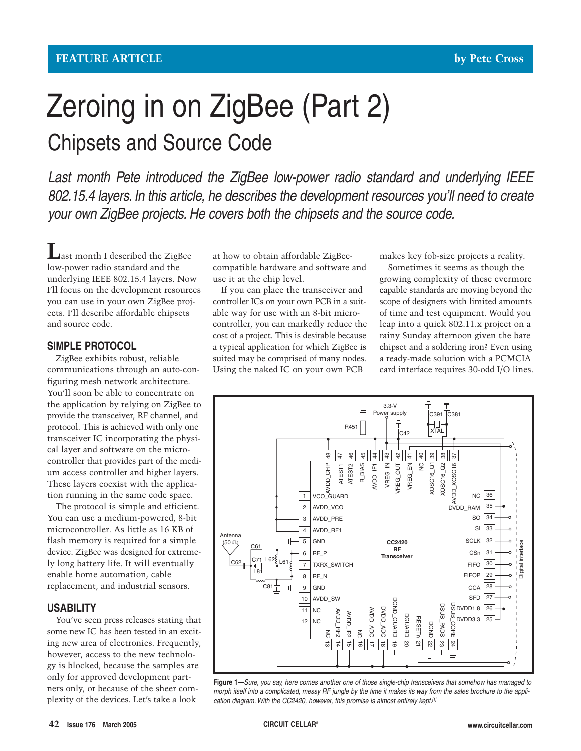# Zeroing in on ZigBee (Part 2) Chipsets and Source Code

Last month Pete introduced the ZigBee low-power radio standard and underlying IEEE 802.15.4 layers. In this article, he describes the development resources you'll need to create your own ZigBee projects. He covers both the chipsets and the source code.

**L**ast month I described the ZigBee low-power radio standard and the underlying IEEE 802.15.4 layers. Now I'll focus on the development resources you can use in your own ZigBee projects. I'll describe affordable chipsets and source code.

## **SIMPLE PROTOCOL**

ZigBee exhibits robust, reliable communications through an auto-configuring mesh network architecture. You'll soon be able to concentrate on the application by relying on ZigBee to provide the transceiver, RF channel, and protocol. This is achieved with only one transceiver IC incorporating the physical layer and software on the microcontroller that provides part of the medium access controller and higher layers. These layers coexist with the application running in the same code space.

The protocol is simple and efficient. You can use a medium-powered, 8-bit microcontroller. As little as 16 KB of flash memory is required for a simple device. ZigBee was designed for extremely long battery life. It will eventually enable home automation, cable replacement, and industrial sensors.

## **USABILITY**

You've seen press releases stating that some new IC has been tested in an exciting new area of electronics. Frequently, however, access to the new technology is blocked, because the samples are only for approved development partners only, or because of the sheer complexity of the devices. Let's take a look

at how to obtain affordable ZigBeecompatible hardware and software and use it at the chip level.

If you can place the transceiver and controller ICs on your own PCB in a suitable way for use with an 8-bit microcontroller, you can markedly reduce the cost of a project. This is desirable because a typical application for which ZigBee is suited may be comprised of many nodes. Using the naked IC on your own PCB

makes key fob-size projects a reality.

Sometimes it seems as though the growing complexity of these evermore capable standards are moving beyond the scope of designers with limited amounts of time and test equipment. Would you leap into a quick 802.11.x project on a rainy Sunday afternoon given the bare chipset and a soldering iron? Even using a ready-made solution with a PCMCIA card interface requires 30-odd I/O lines.



**Figure 1—**Sure, you say, here comes another one of those single-chip transceivers that somehow has managed to morph itself into a complicated, messy RF jungle by the time it makes its way from the sales brochure to the application diagram. With the CC2420, however, this promise is almost entirely kept.[1]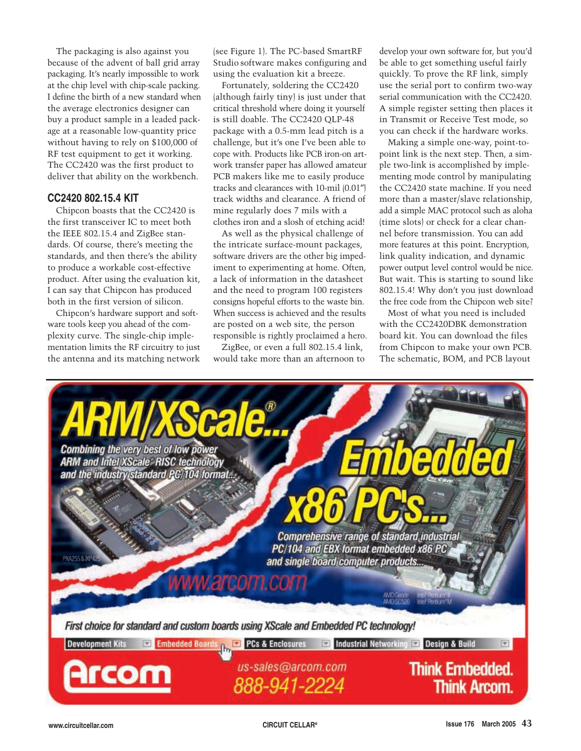The packaging is also against you because of the advent of ball grid array packaging. It's nearly impossible to work at the chip level with chip-scale packing. I define the birth of a new standard when the average electronics designer can buy a product sample in a leaded package at a reasonable low-quantity price without having to rely on \$100,000 of RF test equipment to get it working. The CC2420 was the first product to deliver that ability on the workbench.

## **CC2420 802.15.4 KIT**

Chipcon boasts that the CC2420 is the first transceiver IC to meet both the IEEE 802.15.4 and ZigBee standards. Of course, there's meeting the standards, and then there's the ability to produce a workable cost-effective product. After using the evaluation kit, I can say that Chipcon has produced both in the first version of silicon.

Chipcon's hardware support and software tools keep you ahead of the complexity curve. The single-chip implementation limits the RF circuitry to just the antenna and its matching network (see Figure 1). The PC-based SmartRF Studio software makes configuring and using the evaluation kit a breeze.

Fortunately, soldering the CC2420 (although fairly tiny) is just under that critical threshold where doing it yourself is still doable. The CC2420 QLP-48 package with a 0.5-mm lead pitch is a challenge, but it's one I've been able to cope with. Products like PCB iron-on artwork transfer paper has allowed amateur PCB makers like me to easily produce tracks and clearances with 10-mil (0.01″) track widths and clearance. A friend of mine regularly does 7 mils with a clothes iron and a slosh of etching acid!

As well as the physical challenge of the intricate surface-mount packages, software drivers are the other big impediment to experimenting at home. Often, a lack of information in the datasheet and the need to program 100 registers consigns hopeful efforts to the waste bin. When success is achieved and the results are posted on a web site, the person responsible is rightly proclaimed a hero.

ZigBee, or even a full 802.15.4 link, would take more than an afternoon to develop your own software for, but you'd be able to get something useful fairly quickly. To prove the RF link, simply use the serial port to confirm two-way serial communication with the CC2420. A simple register setting then places it in Transmit or Receive Test mode, so you can check if the hardware works.

Making a simple one-way, point-topoint link is the next step. Then, a simple two-link is accomplished by implementing mode control by manipulating the CC2420 state machine. If you need more than a master/slave relationship, add a simple MAC protocol such as aloha (time slots) or check for a clear channel before transmission. You can add more features at this point. Encryption, link quality indication, and dynamic power output level control would be nice. But wait. This is starting to sound like 802.15.4! Why don't you just download the free code from the Chipcon web site?

Most of what you need is included with the CC2420DBK demonstration board kit. You can download the files from Chipcon to make your own PCB. The schematic, BOM, and PCB layout

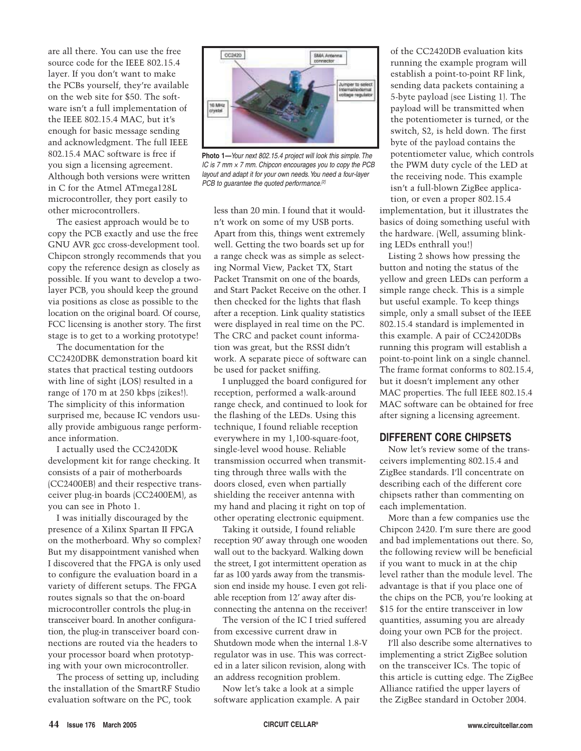are all there. You can use the free source code for the IEEE 802.15.4 layer. If you don't want to make the PCBs yourself, they're available on the web site for \$50. The software isn't a full implementation of the IEEE 802.15.4 MAC, but it's enough for basic message sending and acknowledgment. The full IEEE 802.15.4 MAC software is free if you sign a licensing agreement. Although both versions were written in C for the Atmel ATmega128L microcontroller, they port easily to other microcontrollers.

The easiest approach would be to copy the PCB exactly and use the free GNU AVR gcc cross-development tool. Chipcon strongly recommends that you copy the reference design as closely as possible. If you want to develop a twolayer PCB, you should keep the ground via positions as close as possible to the location on the original board. Of course, FCC licensing is another story. The first stage is to get to a working prototype!

The documentation for the CC2420DBK demonstration board kit states that practical testing outdoors with line of sight (LOS) resulted in a range of 170 m at 250 kbps (zikes!). The simplicity of this information surprised me, because IC vendors usually provide ambiguous range performance information.

I actually used the CC2420DK development kit for range checking. It consists of a pair of motherboards (CC2400EB) and their respective transceiver plug-in boards (CC2400EM), as you can see in Photo 1.

I was initially discouraged by the presence of a Xilinx Spartan II FPGA on the motherboard. Why so complex? But my disappointment vanished when I discovered that the FPGA is only used to configure the evaluation board in a variety of different setups. The FPGA routes signals so that the on-board microcontroller controls the plug-in transceiver board. In another configuration, the plug-in transceiver board connections are routed via the headers to your processor board when prototyping with your own microcontroller.

The process of setting up, including the installation of the SmartRF Studio evaluation software on the PC, took



**Photo 1—**Your next 802.15.4 project will look this simple. The IC is  $7$  mm  $\times$   $7$  mm. Chipcon encourages you to copy the PCB layout and adapt it for your own needs. You need a four-layer PCB to guarantee the quoted performance.<sup>[2]</sup>

less than 20 min. I found that it wouldn't work on some of my USB ports. Apart from this, things went extremely well. Getting the two boards set up for a range check was as simple as selecting Normal View, Packet TX, Start Packet Transmit on one of the boards, and Start Packet Receive on the other. I then checked for the lights that flash after a reception. Link quality statistics were displayed in real time on the PC. The CRC and packet count information was great, but the RSSI didn't work. A separate piece of software can be used for packet sniffing.

I unplugged the board configured for reception, performed a walk-around range check, and continued to look for the flashing of the LEDs. Using this technique, I found reliable reception everywhere in my 1,100-square-foot, single-level wood house. Reliable transmission occurred when transmitting through three walls with the doors closed, even when partially shielding the receiver antenna with my hand and placing it right on top of other operating electronic equipment.

Taking it outside, I found reliable reception 90′ away through one wooden wall out to the backyard. Walking down the street, I got intermittent operation as far as 100 yards away from the transmission end inside my house. I even got reliable reception from 12′ away after disconnecting the antenna on the receiver!

The version of the IC I tried suffered from excessive current draw in Shutdown mode when the internal 1.8-V regulator was in use. This was corrected in a later silicon revision, along with an address recognition problem.

Now let's take a look at a simple software application example. A pair

of the CC2420DB evaluation kits running the example program will establish a point-to-point RF link, sending data packets containing a 5-byte payload (see Listing 1). The payload will be transmitted when the potentiometer is turned, or the switch, S2, is held down. The first byte of the payload contains the potentiometer value, which controls the PWM duty cycle of the LED at the receiving node. This example isn't a full-blown ZigBee application, or even a proper 802.15.4 implementation, but it illustrates the basics of doing something useful with the hardware. (Well, assuming blinking LEDs enthrall you!)

Listing 2 shows how pressing the button and noting the status of the yellow and green LEDs can perform a simple range check. This is a simple but useful example. To keep things simple, only a small subset of the IEEE 802.15.4 standard is implemented in this example. A pair of CC2420DBs running this program will establish a point-to-point link on a single channel. The frame format conforms to 802.15.4, but it doesn't implement any other MAC properties. The full IEEE 802.15.4 MAC software can be obtained for free after signing a licensing agreement.

## **DIFFERENT CORE CHIPSETS**

Now let's review some of the transceivers implementing 802.15.4 and ZigBee standards. I'll concentrate on describing each of the different core chipsets rather than commenting on each implementation.

More than a few companies use the Chipcon 2420. I'm sure there are good and bad implementations out there. So, the following review will be beneficial if you want to muck in at the chip level rather than the module level. The advantage is that if you place one of the chips on the PCB, you're looking at \$15 for the entire transceiver in low quantities, assuming you are already doing your own PCB for the project.

I'll also describe some alternatives to implementing a strict ZigBee solution on the transceiver ICs. The topic of this article is cutting edge. The ZigBee Alliance ratified the upper layers of the ZigBee standard in October 2004.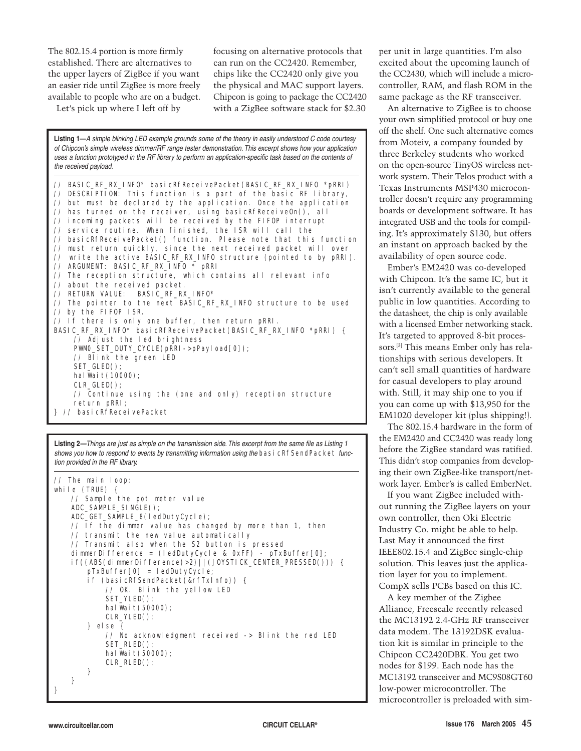The 802.15.4 portion is more firmly established. There are alternatives to the upper layers of ZigBee if you want an easier ride until ZigBee is more freely available to people who are on a budget.

Let's pick up where I left off by

focusing on alternative protocols that can run on the CC2420. Remember, chips like the CC2420 only give you the physical and MAC support layers. Chipcon is going to package the CC2420 with a ZigBee software stack for \$2.30

**Listing 1—**A simple blinking LED example grounds some of the theory in easily understood C code courtesy of Chipcon's simple wireless dimmer/RF range tester demonstration. This excerpt shows how your application uses a function prototyped in the RF library to perform an application-specific task based on the contents of the received payload.

// BASIC\_RF\_RX\_INFO\*\_basicRfReceivePacket(BASIC\_RF\_RX\_INFO \*pRRI) // DESCRIPTION: This function is a part of the basic RF library, // but must be declared by the application. Once the application // has turned on the receiver, using basicRfReceiveOn(), all // incoming packets will be received by the FIFOP interrupt // service routine. When finished, the ISR will call the // basicRfReceivePacket() function. Please note that this function // must return quickly, since the next received packet will over // write the active BASIC\_RF\_RX\_INFO structure (pointed to by pRRI). // ARGUMENT: BASIC\_RF\_RX\_INFO \* pRRI // The reception structure, which contains all relevant info // about the received packet. // RETURN VALUE: BASIC\_RF\_RX\_INFO\* // The pointer to the next BASIC\_RF\_RX\_INFO structure to be used // by the FIFOP ISR. // If there is only one buffer, then return pRRI. BASIC\_RF\_RX\_INFO\* basicRfReceivePacket(BASIC\_RF\_RX\_INFO \*pRRI) { // Adjust the led brightness PWMO\_SET\_DUTY\_CYCLE(pRRI->pPayload[0]); // Blink the green LED SET\_GLED(); hal Wai t (10000); CLR\_GLED(); // Continue using the (one and only) reception structure return pRRI; } // basicRfReceivePacket

**Listing 2—**Things are just as simple on the transmission side. This excerpt from the same file as Listing 1 shows you how to respond to events by transmitting information using the basi cRfSendPacket function provided in the RF library.

```
// The main loop:
while (TRUE) {
   // Sample the pot meter value
   ADC_SAMPLE_SINGLE();
   ADC_GET_SAMPLE_8(ledDutyCycle);
   // If the dimmer value has changed by more than 1, then 
   // transmit the new value automatically
   // Transmit also when the S2 button is pressed
   dimmerDifference = (ledDutyCycle & 0xFF) - pTxBuffer[0];
   if((ABS(dimmerDifference)>2)||(JOYSTICK_CENTER_PRESSED())) {
       pTxBuffer[0] = ledDutyCycle;
       if (basicRfSendPacket(&rfTxInfo)) {
           // OK. Blink the yellow LED
           SET_YLED();
           hal Wai t (50000);
           CLR_YLED();
       } else {
           // No acknowledgment received -> Blink the red LED
           SET_RLED();
           hal Wai t (50000);
           CLR_RLED();
       }
   }
}
```
per unit in large quantities. I'm also excited about the upcoming launch of the CC2430, which will include a microcontroller, RAM, and flash ROM in the same package as the RF transceiver.

An alternative to ZigBee is to choose your own simplified protocol or buy one off the shelf. One such alternative comes from Moteiv, a company founded by three Berkeley students who worked on the open-source TinyOS wireless network system. Their Telos product with a Texas Instruments MSP430 microcontroller doesn't require any programming boards or development software. It has integrated USB and the tools for compiling. It's approximately \$130, but offers an instant on approach backed by the availability of open source code.

Ember's EM2420 was co-developed with Chipcon. It's the same IC, but it isn't currently available to the general public in low quantities. According to the datasheet, the chip is only available with a licensed Ember networking stack. It's targeted to approved 8-bit processors.[3] This means Ember only has relationships with serious developers. It can't sell small quantities of hardware for casual developers to play around with. Still, it may ship one to you if you can come up with \$13,950 for the EM1020 developer kit (plus shipping!).

The 802.15.4 hardware in the form of the EM2420 and CC2420 was ready long before the ZigBee standard was ratified. This didn't stop companies from developing their own ZigBee-like transport/network layer. Ember's is called EmberNet.

If you want ZigBee included without running the ZigBee layers on your own controller, then Oki Electric Industry Co. might be able to help. Last May it announced the first IEEE802.15.4 and ZigBee single-chip solution. This leaves just the application layer for you to implement. CompX sells PCBs based on this IC.

A key member of the Zigbee Alliance, Freescale recently released the MC13192 2.4-GHz RF transceiver data modem. The 13192DSK evaluation kit is similar in principle to the Chipcon CC2420DBK. You get two nodes for \$199. Each node has the MC13192 transceiver and MC9S08GT60 low-power microcontroller. The microcontroller is preloaded with sim-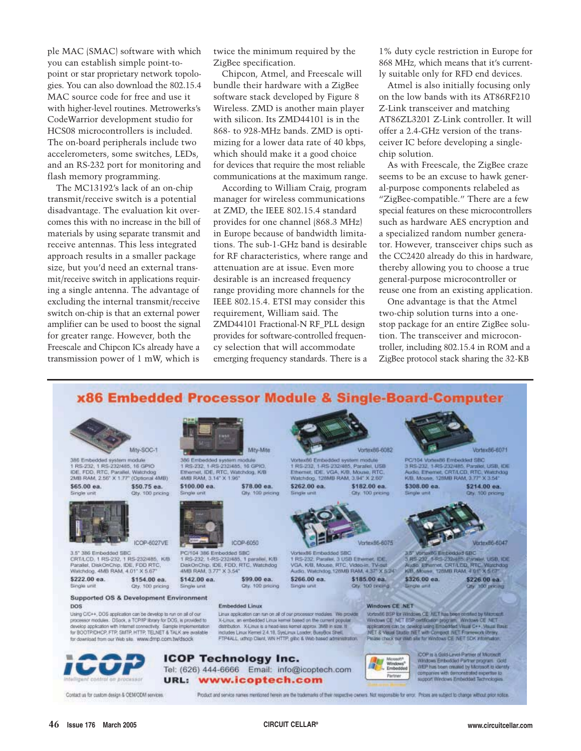ple MAC (SMAC) software with which you can establish simple point-topoint or star proprietary network topologies. You can also download the 802.15.4 MAC source code for free and use it with higher-level routines. Metrowerks's CodeWarrior development studio for HCS08 microcontrollers is included. The on-board peripherals include two accelerometers, some switches, LEDs, and an RS-232 port for monitoring and flash memory programming.

The MC13192's lack of an on-chip transmit/receive switch is a potential disadvantage. The evaluation kit overcomes this with no increase in the bill of materials by using separate transmit and receive antennas. This less integrated approach results in a smaller package size, but you'd need an external transmit/receive switch in applications requiring a single antenna. The advantage of excluding the internal transmit/receive switch on-chip is that an external power amplifier can be used to boost the signal for greater range. However, both the Freescale and Chipcon ICs already have a transmission power of 1 mW, which is

twice the minimum required by the ZigBee specification.

Chipcon, Atmel, and Freescale will bundle their hardware with a ZigBee software stack developed by Figure 8 Wireless. ZMD is another main player with silicon. Its ZMD44101 is in the 868- to 928-MHz bands. ZMD is optimizing for a lower data rate of 40 kbps, which should make it a good choice for devices that require the most reliable communications at the maximum range.

According to William Craig, program manager for wireless communications at ZMD, the IEEE 802.15.4 standard provides for one channel (868.3 MHz) in Europe because of bandwidth limitations. The sub-1-GHz band is desirable for RF characteristics, where range and attenuation are at issue. Even more desirable is an increased frequency range providing more channels for the IEEE 802.15.4. ETSI may consider this requirement, William said. The ZMD44101 Fractional-N RF\_PLL design provides for software-controlled frequency selection that will accommodate emerging frequency standards. There is a

1% duty cycle restriction in Europe for 868 MHz, which means that it's currently suitable only for RFD end devices.

Atmel is also initially focusing only on the low bands with its AT86RF210 Z-Link transceiver and matching AT86ZL3201 Z-Link controller. It will offer a 2.4-GHz version of the transceiver IC before developing a singlechip solution.

As with Freescale, the ZigBee craze seems to be an excuse to hawk general-purpose components relabeled as "ZigBee-compatible." There are a few special features on these microcontrollers such as hardware AES encryption and a specialized random number generator. However, transceiver chips such as the CC2420 already do this in hardware, thereby allowing you to choose a true general-purpose microcontroller or reuse one from an existing application.

One advantage is that the Atmel two-chip solution turns into a onestop package for an entire ZigBee solution. The transceiver and microcontroller, including 802.15.4 in ROM and a ZigBee protocol stack sharing the 32-KB





386 Embedded system module<br>1 RS-232, 1 RS-232/485, 16 GPIO IDE, FDD, RTC, Parallel, Watchdog<br>2MB RAM, 2.56" X 1.77" (Optional 4MB) \$65.00 ea. \$50.75 ea. Otv. 100 pricing **Single unit** 



3.5° 386 Embedded SBC CRT/LCD, 1 RS-232, 1 RS-232/485, K/B Parallel, DiskOnChip, IDE, FDD RTC,<br>Watchdog, 4MB RAM, 4.01" X 5.67" \$154.00 ea.

\$222.00 ea. Single unit

City, 100 pricing **Supported OS & Development Environment** 

#### DOS

Using C/C++. DOS application can be develop to run on all of our processor modules. DSock, a TCP/IP library for DOS, is provided to develop application with Internet connectivity. Sample implementation for BOOTP/DHCP, FTP, SMTP, HTTP, TELNET & TALK are available for download from our Web site. www.dmp.com.tw/dsock

URL:



Contact us for custom design & CEM/CDM services.



386 Embedded syst 1 RS-232, 1-RS-232/485, 16 GPIO. Ethernet, IDE, RTC, Watchdog, K/B<br>4MB RAM, 3.14" X 1.96"

\$100.00 ea. \$78.00 ea. Oly. 100 pricing



C/104 386 Embedded SBC 1 RS-232. 1-RS-232/485, 1 parallel, K/B DiskOnChip, IDE, FDD, RTC, Watchdog<br>4MB RAM, 3.77° X 3.54° \$142.00 ea

\$99.00 ea. Qty. 100 pricing

www.icoptech.com

ICOP-6050

**Embedded Linux** 

**ICOP Technology Inc.** 





**Artex86 Embedded SBC** 1 RS-232. Paraller, 3 USB Etherner, IDE, VGA, K/B, Mouse, RTC, Video in, TV-put<br>Audio, Watchdog, 126MB RAM, 4.37" X 5.24

\$266.00 ea. \$185.00 ea. Oty. 100 pricing Single unit



VortexB6-6047

3.5" Vortux86 Emboddad GBC<br>3.RS-232, 1-RS-232-465. Parallel, USB, IDE Audio, Ethernet, CRT/LCD, RTC, Watchdog<br>K/B, Mouse, 126MB RAM, 4.01" X 5.67" \$226.00 ea.

City, 100 pecing

Windows CE .NET

Vortex86 BSP for Wodows CE AIST has been pertified by Macrosoft Windows CE A/ET BSP certification program Windows CE A/ET<br>applications can be develop using Embedded Visual C++, Visual Basic NET & Visual Studio NET with Compact NET Framework Brery.<br>Please check our Web shi for Windows CE NET SDK Information.

\$326.00 ea.



**IDOP** is a Guid-Level-Partner of Microsoft Gold Whitbas Einbeddad Partner program. WEP has been created by Microsoft to identify companies with demonstrated expertise to support Windows Embedded Technologies

Product and service names mentioned herein are the trademarks of their respective cwners. Not responsible for error. Prices are subject to change without prior notice.

Linux application can run on all of our processor modules. We provide Linux appication can run on all of our processor modules. We provide<br>X-Linux, an embedded Linux kernel based on the current popular<br>distribution. X-Linux is a head-less kernel approx. 3MB in size, If

includes Linux Kemel 2.4.18, Systinux Loader, BusyBox Shell.<br>FTP4ALL, udhqp Client, WN HTTP, gilbo & Web based administration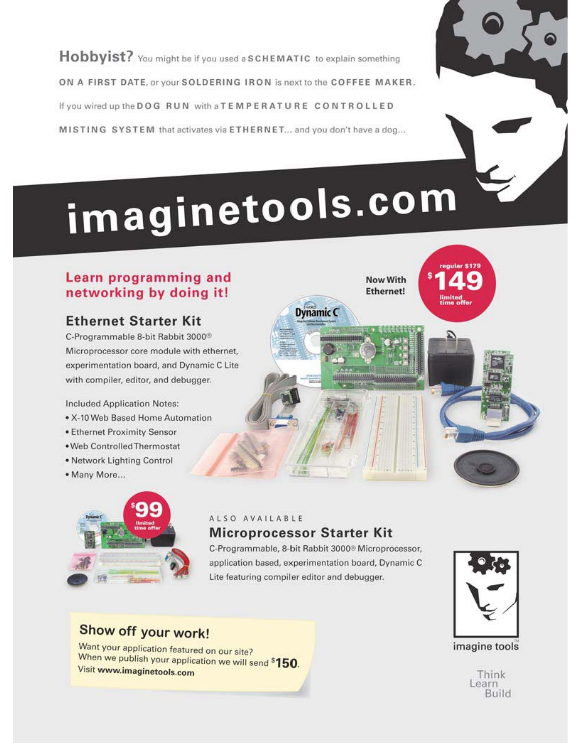Hobbyist? You might be if you used a SCHEMATIC to explain something ON A FIRST DATE, or your SOLDERING IRON is next to the COFFEE MAKER. If you wired up the DOG RUN with a TEMPERATURE CONTROLLED MISTING SYSTEM that activates via ETHERNET... and you don't have a dog...

# imaginetools.com

## **Learn programming and** networking by doing it!

## **Ethernet Starter Kit**

C-Programmable 8-bit Rabbit 3000<sup>®</sup> Microprocessor core module with ethernet, experimentation board, and Dynamic C Lite with compiler, editor, and debugger.

**Included Application Notes:** 

- . X-10 Web Based Home Automation
- · Ethernet Proximity Sensor
- . Web Controlled Thermostat
- . Network Lighting Control
- · Many More...



## ALSO AVAILABLE

## **Microprocessor Starter Kit**

C-Programmable, 8-bit Rabbit 3000® Microprocessor, application based, experimentation board, Dynamic C Lite featuring compiler editor and debugger.

**Dynamic C** 



regular \$179

limited<br>time offer

**Now With** 

**Ethernet!** 

## imagine tools

Think Learn Build

## Show off your work!

Want your application featured on our site? When we publish your application we will send \$150. Visit www.imaginetools.com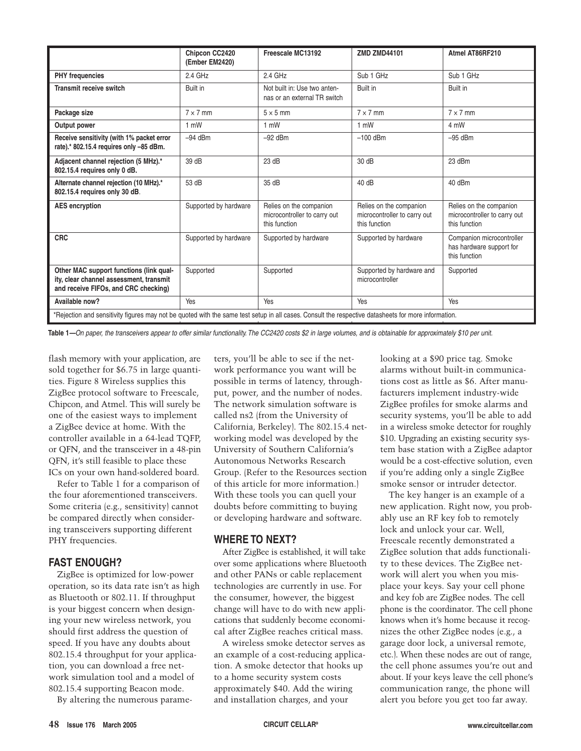|                                                                                                                                                     | Chipcon CC2420<br>(Ember EM2420) | Freescale MC13192                                                        | <b>ZMD ZMD44101</b>                                                      | Atmel AT86RF210                                                          |
|-----------------------------------------------------------------------------------------------------------------------------------------------------|----------------------------------|--------------------------------------------------------------------------|--------------------------------------------------------------------------|--------------------------------------------------------------------------|
|                                                                                                                                                     |                                  |                                                                          |                                                                          |                                                                          |
| <b>PHY</b> frequencies                                                                                                                              | $2.4$ GHz                        | $2.4$ GHz                                                                | Sub 1 GHz                                                                | Sub 1 GHz                                                                |
| <b>Transmit receive switch</b>                                                                                                                      | <b>Built</b> in                  | Not built in: Use two anten-<br>nas or an external TR switch             | <b>Built in</b>                                                          | Built in                                                                 |
| Package size                                                                                                                                        | $7 \times 7$ mm                  | $5 \times 5$ mm                                                          | $7 \times 7$ mm                                                          | $7 \times 7$ mm                                                          |
| Output power                                                                                                                                        | $1 \text{ mW}$                   | $1 \text{ mW}$                                                           | $1 \text{ mW}$                                                           | 4 mW                                                                     |
| Receive sensitivity (with 1% packet error<br>rate).* 802.15.4 requires only -85 dBm.                                                                | $-94$ dBm                        | $-92$ dBm                                                                | $-100$ dBm                                                               | $-95$ dBm                                                                |
| Adjacent channel rejection (5 MHz).*<br>802.15.4 requires only 0 dB.                                                                                | 39 dB                            | 23 dB                                                                    | 30 dB                                                                    | 23 dBm                                                                   |
| Alternate channel rejection (10 MHz).*<br>802.15.4 requires only 30 dB.                                                                             | 53 dB                            | 35 dB                                                                    | 40dB                                                                     | 40 dBm                                                                   |
| <b>AES</b> encryption                                                                                                                               | Supported by hardware            | Relies on the companion<br>microcontroller to carry out<br>this function | Relies on the companion<br>microcontroller to carry out<br>this function | Relies on the companion<br>microcontroller to carry out<br>this function |
| <b>CRC</b>                                                                                                                                          | Supported by hardware            | Supported by hardware                                                    | Supported by hardware                                                    | Companion microcontroller<br>has hardware support for<br>this function   |
| Other MAC support functions (link qual-<br>ity, clear channel assessment, transmit<br>and receive FIFOs, and CRC checking)                          | Supported                        | Supported                                                                | Supported by hardware and<br>microcontroller                             | Supported                                                                |
| Available now?                                                                                                                                      | Yes                              | Yes                                                                      | Yes                                                                      | Yes                                                                      |
| *Rejection and sensitivity figures may not be quoted with the same test setup in all cases. Consult the respective datasheets for more information. |                                  |                                                                          |                                                                          |                                                                          |

Table 1-On paper, the transceivers appear to offer similar functionality. The CC2420 costs \$2 in large volumes, and is obtainable for approximately \$10 per unit.

flash memory with your application, are sold together for \$6.75 in large quantities. Figure 8 Wireless supplies this ZigBee protocol software to Freescale, Chipcon, and Atmel. This will surely be one of the easiest ways to implement a ZigBee device at home. With the controller available in a 64-lead TQFP, or QFN, and the transceiver in a 48-pin QFN, it's still feasible to place these ICs on your own hand-soldered board.

Refer to Table 1 for a comparison of the four aforementioned transceivers. Some criteria (e.g., sensitivity) cannot be compared directly when considering transceivers supporting different PHY frequencies.

## **FAST ENOUGH?**

ZigBee is optimized for low-power operation, so its data rate isn't as high as Bluetooth or 802.11. If throughput is your biggest concern when designing your new wireless network, you should first address the question of speed. If you have any doubts about 802.15.4 throughput for your application, you can download a free network simulation tool and a model of 802.15.4 supporting Beacon mode.

By altering the numerous parame-

ters, you'll be able to see if the network performance you want will be possible in terms of latency, throughput, power, and the number of nodes. The network simulation software is called ns2 (from the University of California, Berkeley). The 802.15.4 networking model was developed by the University of Southern California's Autonomous Networks Research Group. (Refer to the Resources section of this article for more information.) With these tools you can quell your doubts before committing to buying or developing hardware and software.

## **WHERE TO NEXT?**

After ZigBee is established, it will take over some applications where Bluetooth and other PANs or cable replacement technologies are currently in use. For the consumer, however, the biggest change will have to do with new applications that suddenly become economical after ZigBee reaches critical mass.

A wireless smoke detector serves as an example of a cost-reducing application. A smoke detector that hooks up to a home security system costs approximately \$40. Add the wiring and installation charges, and your

looking at a \$90 price tag. Smoke alarms without built-in communications cost as little as \$6. After manufacturers implement industry-wide ZigBee profiles for smoke alarms and security systems, you'll be able to add in a wireless smoke detector for roughly \$10. Upgrading an existing security system base station with a ZigBee adaptor would be a cost-effective solution, even if you're adding only a single ZigBee smoke sensor or intruder detector.

The key hanger is an example of a new application. Right now, you probably use an RF key fob to remotely lock and unlock your car. Well. Freescale recently demonstrated a ZigBee solution that adds functionality to these devices. The ZigBee network will alert you when you misplace your keys. Say your cell phone and key fob are ZigBee nodes. The cell phone is the coordinator. The cell phone knows when it's home because it recognizes the other ZigBee nodes (e.g., a garage door lock, a universal remote, etc.). When these nodes are out of range, the cell phone assumes you're out and about. If your keys leave the cell phone's communication range, the phone will alert you before you get too far away.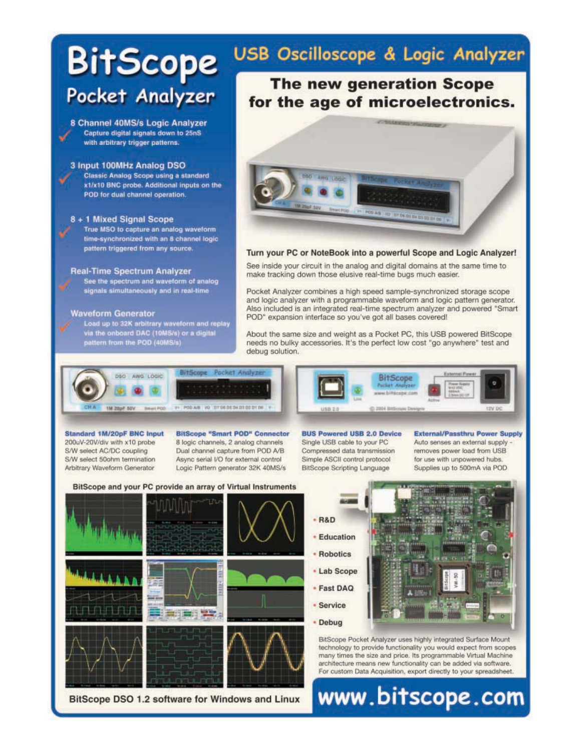## **BitScope** Pocket Analyzer

## 8 Channel 40MS/s Logic Analyzer

Capture digital signals down to 25nS with arbitrary trigger patterns.

### 3 Input 100MHz Analog DSO

**Classic Analog Scope using a standard** x1/x10 BNC probe. Additional inputs on the POD for dual channel operation.

#### 8 + 1 Mixed Signal Scope

True MSO to capture an analog waveform time-synchronized with an 8 channel logic pattern triggered from any source.

#### **Real-Time Spectrum Analyzer**

See the spectrum and waveform of analog signals simultaneously and in real-time

#### **Waveform Generator**

Load up to 32K arbitrary waveform and replay via the onboard DAC (10MS/s) or a digital pattern from the POD (40MS/s)

## USB Oscilloscope & Logic Analyzer

## The new generation Scope for the age of microelectronics.



#### Turn your PC or NoteBook into a powerful Scope and Logic Analyzer!

See inside your circuit in the analog and digital domains at the same time to make tracking down those elusive real-time bugs much easier.

Pocket Analyzer combines a high speed sample-synchronized storage scope and logic analyzer with a programmable waveform and logic pattern generator. Also included is an integrated real-time spectrum analyzer and powered "Smart POD" expansion interface so you've got all bases covered!

About the same size and weight as a Pocket PC, this USB powered BitScope needs no bulky accessories. It's the perfect low cost "go anywhere" test and debug solution.



**Standard 1M/20pF BNC Input** 200uV-20V/div with x10 probe S/W select AC/DC coupling S/W select 50phm termination Arbitrary Waveform Generator

#### **BitScope "Smart POD" Connector** 8 logic channels, 2 analog channels Dual channel capture from POD A/B Async serial I/O for external control

Logic Pattern generator 32K 40MS/s



**BUS Powered USB 2.0 Device** Single USB cable to your PC Compressed data transmission Simple ASCII control protocol **BitScope Scripting Language** 

#### **External/Passthru Power Supply**

Auto senses an external supply removes power load from USB for use with unpowered hubs. Supplies up to 500mA via POD



BitScope and your PC provide an array of Virtual Instruments